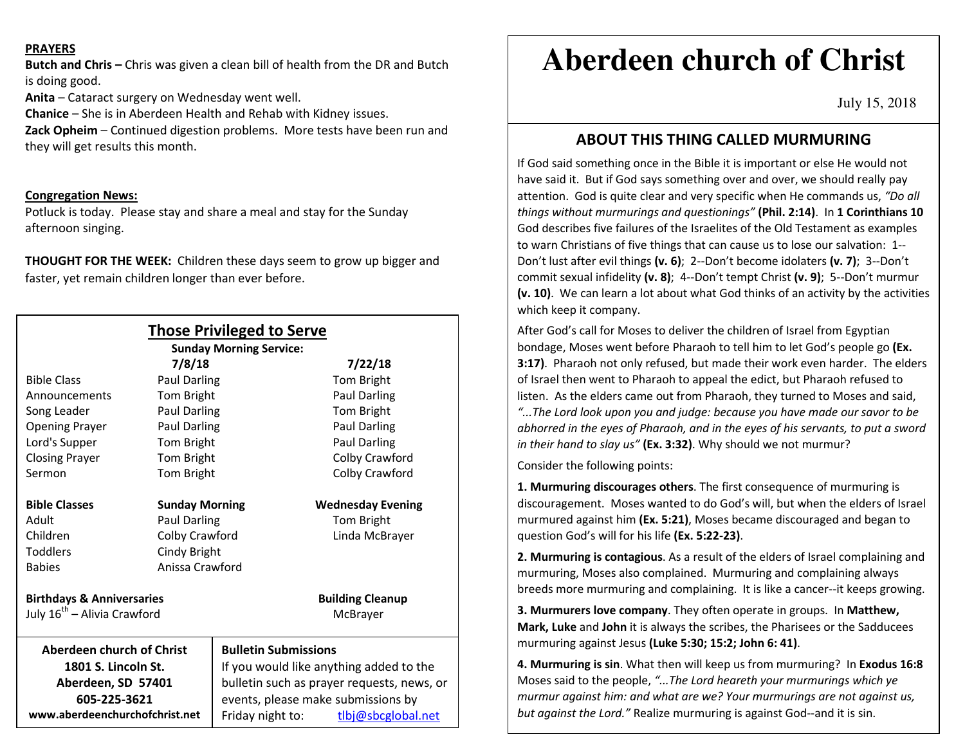#### **PRAYERS**

**Butch and Chris –** Chris was given a clean bill of health from the DR and Butch is doing good.

**Anita** – Cataract surgery on Wednesday went well.

**Chanice** – She is in Aberdeen Health and Rehab with Kidney issues.

**Zack Opheim** – Continued digestion problems. More tests have been run and they will get results this month.

## **Congregation News:**

Potluck is today. Please stay and share a meal and stay for the Sunday afternoon singing.

**THOUGHT FOR THE WEEK:** Children these days seem to grow up bigger and faster, yet remain children longer than ever before.

| <b>Those Privileged to Serve</b>        |                        |                                            |                          |
|-----------------------------------------|------------------------|--------------------------------------------|--------------------------|
| <b>Sunday Morning Service:</b>          |                        |                                            |                          |
| <b>Bible Class</b>                      | 7/8/18<br>Paul Darling |                                            | 7/22/18                  |
|                                         |                        |                                            | Tom Bright               |
| Announcements                           | Tom Bright             |                                            | Paul Darling             |
| Song Leader                             | Paul Darling           |                                            | Tom Bright               |
| <b>Opening Prayer</b>                   | Paul Darling           |                                            | <b>Paul Darling</b>      |
| Lord's Supper                           | Tom Bright             |                                            | <b>Paul Darling</b>      |
| <b>Closing Prayer</b>                   | Tom Bright             |                                            | Colby Crawford           |
| Sermon                                  | Tom Bright             |                                            | Colby Crawford           |
| <b>Bible Classes</b>                    | <b>Sunday Morning</b>  |                                            | <b>Wednesday Evening</b> |
| Adult                                   | Paul Darling           |                                            | Tom Bright               |
| Children                                | Colby Crawford         |                                            | Linda McBrayer           |
| <b>Toddlers</b>                         | Cindy Bright           |                                            |                          |
| <b>Babies</b>                           | Anissa Crawford        |                                            |                          |
| <b>Birthdays &amp; Anniversaries</b>    |                        |                                            | <b>Building Cleanup</b>  |
| July 16 <sup>th</sup> - Alivia Crawford |                        |                                            | McBrayer                 |
| <b>Aberdeen church of Christ</b>        |                        | <b>Bulletin Submissions</b>                |                          |
| 1801 S. Lincoln St.                     |                        | If you would like anything added to the    |                          |
| Aberdeen, SD 57401                      |                        | bulletin such as prayer requests, news, or |                          |
| 605-225-3621                            |                        | events, please make submissions by         |                          |
| www.aberdeenchurchofchrist.net          |                        | Friday night to:                           | tlbj@sbcglobal.net       |

# **Aberdeen church of Christ**

July 15, 2018

# **ABOUT THIS THING CALLED MURMURING**

 If God said something once in the Bible it is important or else He would not have said it. But if God says something over and over, we should really pay attention. God is quite clear and very specific when He commands us, *"Do all things without murmurings and questionings"* **(Phil. 2:14)**. In **1 Corinthians 10** God describes five failures of the Israelites of the Old Testament as examples to warn Christians of five things that can cause us to lose our salvation: 1--Don't lust after evil things **(v. 6)**; 2--Don't become idolaters **(v. 7)**; 3--Don't commit sexual infidelity **(v. 8)**; 4--Don't tempt Christ **(v. 9)**; 5--Don't murmur **(v. 10)**. We can learn a lot about what God thinks of an activity by the activities which keep it company.

After God's call for Moses to deliver the children of Israel from Egyptian bondage, Moses went before Pharaoh to tell him to let God's people go **(Ex. 3:17)**. Pharaoh not only refused, but made their work even harder. The elders of Israel then went to Pharaoh to appeal the edict, but Pharaoh refused to listen. As the elders came out from Pharaoh, they turned to Moses and said, *"...The Lord look upon you and judge: because you have made our savor to be abhorred in the eyes of Pharaoh, and in the eyes of his servants, to put a sword in their hand to slay us"* **(Ex. 3:32)**. Why should we not murmur?

Consider the following points:

**1. Murmuring discourages others**. The first consequence of murmuring is discouragement. Moses wanted to do God's will, but when the elders of Israel murmured against him **(Ex. 5:21)**, Moses became discouraged and began to question God's will for his life **(Ex. 5:22-23)**.

**2. Murmuring is contagious**. As a result of the elders of Israel complaining and murmuring, Moses also complained. Murmuring and complaining always breeds more murmuring and complaining. It is like a cancer--it keeps growing.

**3. Murmurers love company**. They often operate in groups. In **Matthew, Mark, Luke** and **John** it is always the scribes, the Pharisees or the Sadducees murmuring against Jesus **(Luke 5:30; 15:2; John 6: 41)**.

**4. Murmuring is sin**. What then will keep us from murmuring? In **Exodus 16:8** Moses said to the people, *"...The Lord heareth your murmurings which ye murmur against him: and what are we? Your murmurings are not against us, but against the Lord."* Realize murmuring is against God--and it is sin.